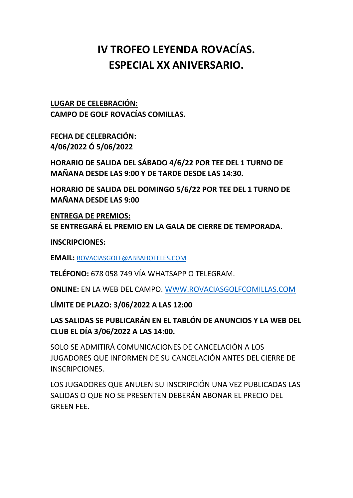## **IV TROFEO LEYENDA ROVACÍAS. ESPECIAL XX ANIVERSARIO.**

**LUGAR DE CELEBRACIÓN: CAMPO DE GOLF ROVACÍAS COMILLAS.**

**FECHA DE CELEBRACIÓN: 4/06/2022 Ó 5/06/2022**

**HORARIO DE SALIDA DEL SÁBADO 4/6/22 POR TEE DEL 1 TURNO DE MAÑANA DESDE LAS 9:00 Y DE TARDE DESDE LAS 14:30.**

**HORARIO DE SALIDA DEL DOMINGO 5/6/22 POR TEE DEL 1 TURNO DE MAÑANA DESDE LAS 9:00**

**ENTREGA DE PREMIOS: SE ENTREGARÁ EL PREMIO EN LA GALA DE CIERRE DE TEMPORADA.**

**INSCRIPCIONES:**

**EMAIL:** [ROVACIASGOLF@ABBAHOTELES.COM](mailto:ROVACIASGOLF@ABBAHOTELES.COM)

**TELÉFONO:** 678 058 749 VÍA WHATSAPP O TELEGRAM.

**ONLINE:** EN LA WEB DEL CAMPO. [WWW.ROVACIASGOLFCOMILLAS.COM](http://www.rovaciasgolfcomillas.com/)

**LÍMITE DE PLAZO: 3/06/2022 A LAS 12:00**

**LAS SALIDAS SE PUBLICARÁN EN EL TABLÓN DE ANUNCIOS Y LA WEB DEL CLUB EL DÍA 3/06/2022 A LAS 14:00.**

SOLO SE ADMITIRÁ COMUNICACIONES DE CANCELACIÓN A LOS JUGADORES QUE INFORMEN DE SU CANCELACIÓN ANTES DEL CIERRE DE INSCRIPCIONES.

LOS JUGADORES QUE ANULEN SU INSCRIPCIÓN UNA VEZ PUBLICADAS LAS SALIDAS O QUE NO SE PRESENTEN DEBERÁN ABONAR EL PRECIO DEL GREEN FEE.